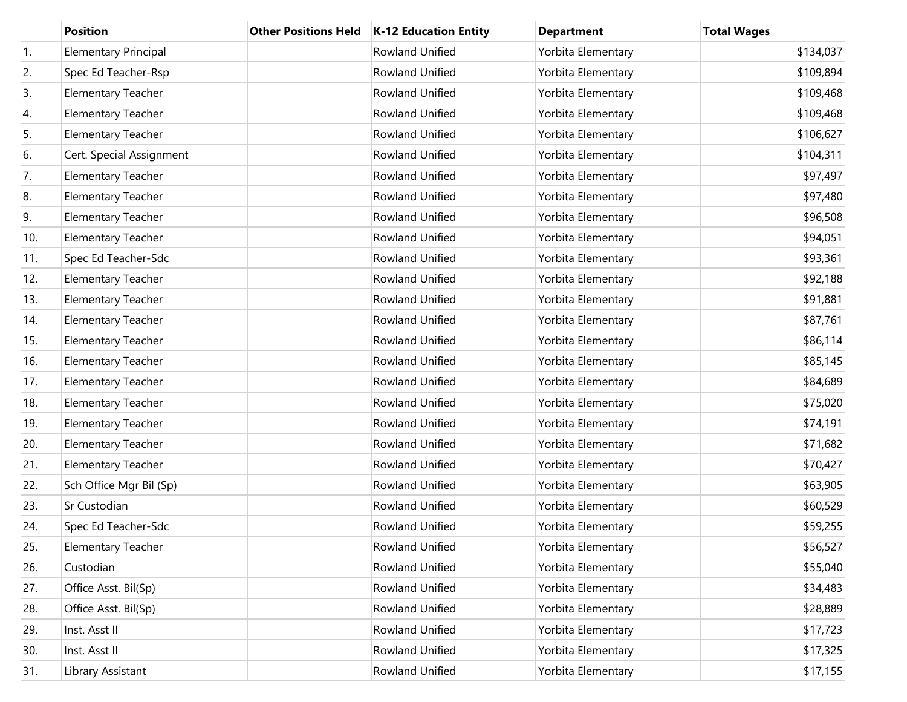|     | <b>Position</b>             | <b>Other Positions Held</b> | <b>K-12 Education Entity</b> | <b>Department</b>  | <b>Total Wages</b> |
|-----|-----------------------------|-----------------------------|------------------------------|--------------------|--------------------|
| 1.  | <b>Elementary Principal</b> |                             | Rowland Unified              | Yorbita Elementary | \$134,037          |
| 2.  | Spec Ed Teacher-Rsp         |                             | Rowland Unified              | Yorbita Elementary | \$109,894          |
| 3.  | <b>Elementary Teacher</b>   |                             | Rowland Unified              | Yorbita Elementary | \$109,468          |
| 4.  | <b>Elementary Teacher</b>   |                             | Rowland Unified              | Yorbita Elementary | \$109,468          |
| 5.  | <b>Elementary Teacher</b>   |                             | Rowland Unified              | Yorbita Elementary | \$106,627          |
| 6.  | Cert. Special Assignment    |                             | Rowland Unified              | Yorbita Elementary | \$104,311          |
| 7.  | Elementary Teacher          |                             | Rowland Unified              | Yorbita Elementary | \$97,497           |
| 8.  | <b>Elementary Teacher</b>   |                             | Rowland Unified              | Yorbita Elementary | \$97,480           |
| 9.  | <b>Elementary Teacher</b>   |                             | Rowland Unified              | Yorbita Elementary | \$96,508           |
| 10. | <b>Elementary Teacher</b>   |                             | Rowland Unified              | Yorbita Elementary | \$94,051           |
| 11. | Spec Ed Teacher-Sdc         |                             | Rowland Unified              | Yorbita Elementary | \$93,361           |
| 12. | Elementary Teacher          |                             | Rowland Unified              | Yorbita Elementary | \$92,188           |
| 13. | <b>Elementary Teacher</b>   |                             | Rowland Unified              | Yorbita Elementary | \$91,881           |
| 14. | <b>Elementary Teacher</b>   |                             | <b>Rowland Unified</b>       | Yorbita Elementary | \$87,761           |
| 15. | Elementary Teacher          |                             | Rowland Unified              | Yorbita Elementary | \$86,114           |
| 16. | <b>Elementary Teacher</b>   |                             | Rowland Unified              | Yorbita Elementary | \$85,145           |
| 17. | Elementary Teacher          |                             | Rowland Unified              | Yorbita Elementary | \$84,689           |
| 18. | <b>Elementary Teacher</b>   |                             | Rowland Unified              | Yorbita Elementary | \$75,020           |
| 19. | <b>Elementary Teacher</b>   |                             | Rowland Unified              | Yorbita Elementary | \$74,191           |
| 20. | <b>Elementary Teacher</b>   |                             | Rowland Unified              | Yorbita Elementary | \$71,682           |
| 21. | <b>Elementary Teacher</b>   |                             | Rowland Unified              | Yorbita Elementary | \$70,427           |
| 22. | Sch Office Mgr Bil (Sp)     |                             | <b>Rowland Unified</b>       | Yorbita Elementary | \$63,905           |
| 23. | Sr Custodian                |                             | Rowland Unified              | Yorbita Elementary | \$60,529           |
| 24. | Spec Ed Teacher-Sdc         |                             | Rowland Unified              | Yorbita Elementary | \$59,255           |
| 25. | <b>Elementary Teacher</b>   |                             | Rowland Unified              | Yorbita Elementary | \$56,527           |
| 26. | Custodian                   |                             | Rowland Unified              | Yorbita Elementary | \$55,040           |
| 27. | Office Asst. Bil(Sp)        |                             | Rowland Unified              | Yorbita Elementary | \$34,483           |
| 28. | Office Asst. Bil(Sp)        |                             | Rowland Unified              | Yorbita Elementary | \$28,889           |
| 29. | Inst. Asst II               |                             | Rowland Unified              | Yorbita Elementary | \$17,723           |
| 30. | Inst. Asst II               |                             | Rowland Unified              | Yorbita Elementary | \$17,325           |
| 31. | Library Assistant           |                             | Rowland Unified              | Yorbita Elementary | \$17,155           |